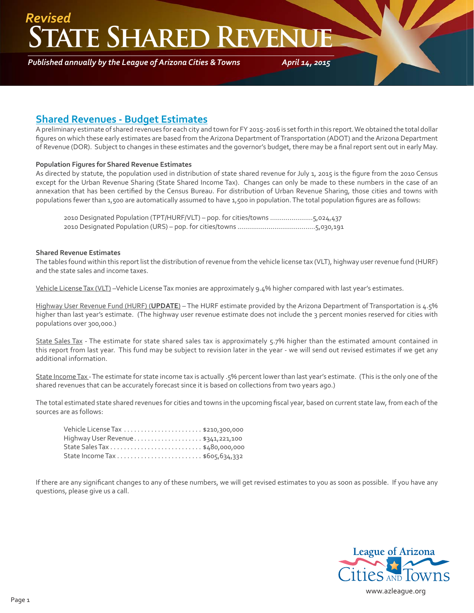## **ATE SHARED REVEN** *Revised*

*Published annually by the League of Arizona Cities & Towns*

*April 14, 2015*

#### **Shared Revenues - Budget Estimates**

A preliminary estimate of shared revenues for each city and town for FY 2015-2016 is set forth in this report. We obtained the total dollar figures on which these early estimates are based from the Arizona Department of Transportation (ADOT) and the Arizona Department of Revenue (DOR). Subject to changes in these estimates and the governor's budget, there may be a final report sent out in early May.

#### **Population Figures for Shared Revenue Estimates**

As directed by statute, the population used in distribution of state shared revenue for July 1, 2015 is the figure from the 2010 Census except for the Urban Revenue Sharing (State Shared Income Tax). Changes can only be made to these numbers in the case of an annexation that has been certified by the Census Bureau. For distribution of Urban Revenue Sharing, those cities and towns with populations fewer than 1,500 are automatically assumed to have 1,500 in population. The total population figures are as follows:

 2010 Designated Population (TPT/HURF/VLT) – pop. for cities/towns ......................5,024,437 2010 Designated Population (URS) – pop. for cities/towns ........................................5,030,191

#### **Shared Revenue Estimates**

The tables found within this report list the distribution of revenue from the vehicle license tax (VLT), highway user revenue fund (HURF) and the state sales and income taxes.

Vehicle License Tax (VLT) –Vehicle License Tax monies are approximately 9.4% higher compared with last year's estimates.

Highway User Revenue Fund (HURF) (**UPDATE**) – The HURF estimate provided by the Arizona Department of Transportation is 4.5% higher than last year's estimate. (The highway user revenue estimate does not include the 3 percent monies reserved for cities with populations over 300,000.)

State Sales Tax - The estimate for state shared sales tax is approximately 5.7% higher than the estimated amount contained in this report from last year. This fund may be subject to revision later in the year - we will send out revised estimates if we get any additional information.

State Income Tax - The estimate for state income tax is actually .5% percent lower than last year's estimate. (This is the only one of the shared revenues that can be accurately forecast since it is based on collections from two years ago.)

The total estimated state shared revenues for cities and towns in the upcoming fiscal year, based on current state law, from each of the sources are as follows:

| Highway User Revenue \$341,221,100 |  |
|------------------------------------|--|
|                                    |  |
|                                    |  |

If there are any significant changes to any of these numbers, we will get revised estimates to you as soon as possible. If you have any questions, please give us a call.

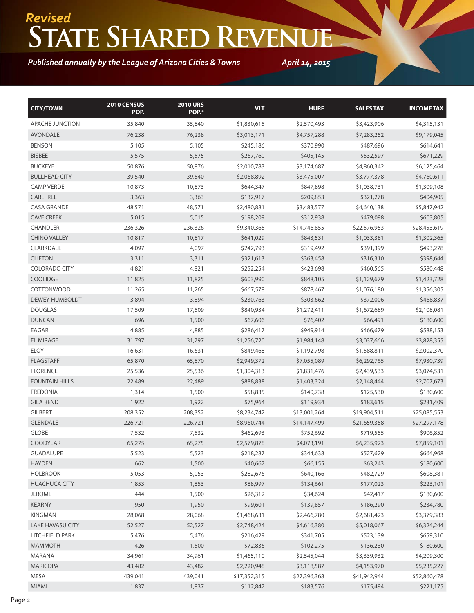# **State Shared Revenue** *Revised*

### *Published annually by the League of Arizona Cities & Towns*

*April 14, 2015*

| <b>CITY/TOWN</b>        | 2010 CENSUS<br>POP. | <b>2010 URS</b><br>POP.* | <b>VLT</b>   | <b>HURF</b>  | <b>SALESTAX</b> | <b>INCOME TAX</b> |
|-------------------------|---------------------|--------------------------|--------------|--------------|-----------------|-------------------|
| APACHE JUNCTION         | 35,840              | 35,840                   | \$1,830,615  | \$2,570,493  | \$3,423,906     | \$4,315,131       |
| <b>AVONDALE</b>         | 76,238              | 76,238                   | \$3,013,171  | \$4,757,288  | \$7,283,252     | \$9,179,045       |
| <b>BENSON</b>           | 5,105               | 5,105                    | \$245,186    | \$370,990    | \$487,696       | \$614,641         |
| <b>BISBEE</b>           | 5,575               | 5,575                    | \$267,760    | \$405,145    | \$532,597       | \$671,229         |
| <b>BUCKEYE</b>          | 50,876              | 50,876                   | \$2,010,783  | \$3,174,687  | \$4,860,342     | \$6,125,464       |
| <b>BULLHEAD CITY</b>    | 39,540              | 39,540                   | \$2,068,892  | \$3,475,007  | \$3,777,378     | \$4,760,611       |
| <b>CAMP VERDE</b>       | 10,873              | 10,873                   | \$644,347    | \$847,898    | \$1,038,731     | \$1,309,108       |
| CAREFREE                | 3,363               | 3,363                    | \$132,917    | \$209,853    | \$321,278       | \$404,905         |
| <b>CASA GRANDE</b>      | 48,571              | 48,571                   | \$2,480,881  | \$3,483,577  | \$4,640,138     | \$5,847,942       |
| <b>CAVE CREEK</b>       | 5,015               | 5,015                    | \$198,209    | \$312,938    | \$479,098       | \$603,805         |
| <b>CHANDLER</b>         | 236,326             | 236,326                  | \$9,340,365  | \$14,746,855 | \$22,576,953    | \$28,453,619      |
| <b>CHINO VALLEY</b>     | 10,817              | 10,817                   | \$641,029    | \$843,531    | \$1,033,381     | \$1,302,365       |
| CLARKDALE               | 4,097               | 4,097                    | \$242,793    | \$319,492    | \$391,399       | \$493,278         |
| <b>CLIFTON</b>          | 3,311               | 3,311                    | \$321,613    | \$363,458    | \$316,310       | \$398,644         |
| <b>COLORADO CITY</b>    | 4,821               | 4,821                    | \$252,254    | \$423,698    | \$460,565       | \$580,448         |
| <b>COOLIDGE</b>         | 11,825              | 11,825                   | \$603,990    | \$848,105    | \$1,129,679     | \$1,423,728       |
| <b>COTTONWOOD</b>       | 11,265              | 11,265                   | \$667,578    | \$878,467    | \$1,076,180     | \$1,356,305       |
| DEWEY-HUMBOLDT          | 3,894               | 3,894                    | \$230,763    | \$303,662    | \$372,006       | \$468,837         |
| <b>DOUGLAS</b>          | 17,509              | 17,509                   | \$840,934    | \$1,272,411  | \$1,672,689     | \$2,108,081       |
| <b>DUNCAN</b>           | 696                 | 1,500                    | \$67,606     | \$76,402     | \$66,491        | \$180,600         |
| EAGAR                   | 4,885               | 4,885                    | \$286,417    | \$949,914    | \$466,679       | \$588,153         |
| <b>EL MIRAGE</b>        | 31,797              | 31,797                   | \$1,256,720  | \$1,984,148  | \$3,037,666     | \$3,828,355       |
| <b>ELOY</b>             | 16,631              | 16,631                   | \$849,468    | \$1,192,798  | \$1,588,811     | \$2,002,370       |
| <b>FLAGSTAFF</b>        | 65,870              | 65,870                   | \$2,949,372  | \$7,055,089  | \$6,292,765     | \$7,930,739       |
| <b>FLORENCE</b>         | 25,536              | 25,536                   | \$1,304,313  | \$1,831,476  | \$2,439,533     | \$3,074,531       |
| <b>FOUNTAIN HILLS</b>   | 22,489              | 22,489                   | \$888,838    | \$1,403,324  | \$2,148,444     | \$2,707,673       |
| <b>FREDONIA</b>         | 1,314               | 1,500                    | \$58,835     | \$140,738    | \$125,530       | \$180,600         |
| <b>GILA BEND</b>        | 1,922               | 1,922                    | \$75,964     | \$119,934    | \$183,615       | \$231,409         |
| <b>GILBERT</b>          | 208,352             | 208,352                  | \$8,234,742  | \$13,001,264 | \$19,904,511    | \$25,085,553      |
| <b>GLENDALE</b>         | 226,721             | 226,721                  | \$8,960,744  | \$14,147,499 | \$21,659,358    | \$27,297,178      |
| <b>GLOBE</b>            | 7,532               | 7,532                    | \$462,693    | \$752,692    | \$719,555       | \$906,852         |
| <b>GOODYEAR</b>         | 65,275              | 65,275                   | \$2,579,878  | \$4,073,191  | \$6,235,923     | \$7,859,101       |
| <b>GUADALUPE</b>        | 5,523               | 5,523                    | \$218,287    | \$344,638    | \$527,629       | \$664,968         |
| <b>HAYDEN</b>           | 662                 | 1,500                    | \$40,667     | \$66,155     | \$63,243        | \$180,600         |
| <b>HOLBROOK</b>         | 5,053               | 5,053                    | \$282,676    | \$640,166    | \$482,729       | \$608,381         |
| <b>HUACHUCA CITY</b>    | 1,853               | 1,853                    | \$88,997     | \$134,661    | \$177,023       | \$223,101         |
| <b>JEROME</b>           | 444                 | 1,500                    | \$26,312     | \$34,624     | \$42,417        | \$180,600         |
| KEARNY                  | 1,950               | 1,950                    | \$99,601     | \$139,857    | \$186,290       | \$234,780         |
| KINGMAN                 | 28,068              | 28,068                   | \$1,468,631  | \$2,466,780  | \$2,681,423     | \$3,379,383       |
| <b>LAKE HAVASU CITY</b> | 52,527              | 52,527                   | \$2,748,424  | \$4,616,380  | \$5,018,067     | \$6,324,244       |
| LITCHFIELD PARK         | 5,476               | 5,476                    | \$216,429    | \$341,705    | \$523,139       | \$659,310         |
| <b>MAMMOTH</b>          | 1,426               | 1,500                    | \$72,836     | \$102,275    | \$136,230       | \$180,600         |
| MARANA                  | 34,961              | 34,961                   | \$1,465,110  | \$2,545,044  | \$3,339,932     | \$4,209,300       |
| <b>MARICOPA</b>         | 43,482              | 43,482                   | \$2,220,948  | \$3,118,587  | \$4,153,970     | \$5,235,227       |
| MESA                    | 439,041             | 439,041                  | \$17,352,315 | \$27,396,368 | \$41,942,944    | \$52,860,478      |
| <b>MIAMI</b>            | 1.837               | 1.837                    | \$112,847    | \$183,576    | \$175,494       | \$221,175         |